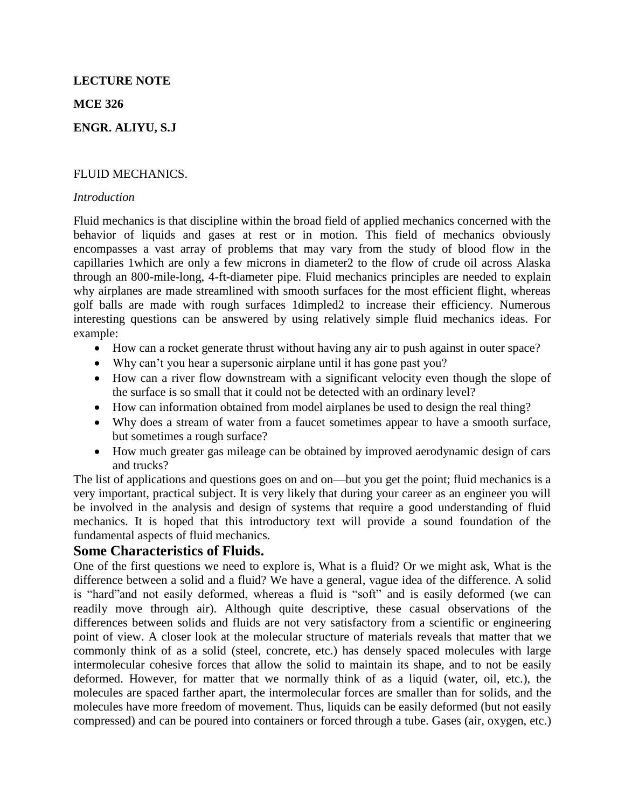## **LECTURE NOTE**

### **MCE 326**

# **ENGR. ALIYU, S.J**

## FLUID MECHANICS.

### *Introduction*

Fluid mechanics is that discipline within the broad field of applied mechanics concerned with the behavior of liquids and gases at rest or in motion. This field of mechanics obviously encompasses a vast array of problems that may vary from the study of blood flow in the capillaries 1which are only a few microns in diameter2 to the flow of crude oil across Alaska through an 800-mile-long, 4-ft-diameter pipe. Fluid mechanics principles are needed to explain why airplanes are made streamlined with smooth surfaces for the most efficient flight, whereas golf balls are made with rough surfaces 1dimpled2 to increase their efficiency. Numerous interesting questions can be answered by using relatively simple fluid mechanics ideas. For example:

- How can a rocket generate thrust without having any air to push against in outer space?
- Why can't you hear a supersonic airplane until it has gone past you?
- How can a river flow downstream with a significant velocity even though the slope of the surface is so small that it could not be detected with an ordinary level?
- How can information obtained from model airplanes be used to design the real thing?
- Why does a stream of water from a faucet sometimes appear to have a smooth surface, but sometimes a rough surface?
- How much greater gas mileage can be obtained by improved aerodynamic design of cars and trucks?

The list of applications and questions goes on and on—but you get the point; fluid mechanics is a very important, practical subject. It is very likely that during your career as an engineer you will be involved in the analysis and design of systems that require a good understanding of fluid mechanics. It is hoped that this introductory text will provide a sound foundation of the fundamental aspects of fluid mechanics.

# **Some Characteristics of Fluids.**

One of the first questions we need to explore is, What is a fluid? Or we might ask, What is the difference between a solid and a fluid? We have a general, vague idea of the difference. A solid is "hard"and not easily deformed, whereas a fluid is "soft" and is easily deformed (we can readily move through air). Although quite descriptive, these casual observations of the differences between solids and fluids are not very satisfactory from a scientific or engineering point of view. A closer look at the molecular structure of materials reveals that matter that we commonly think of as a solid (steel, concrete, etc.) has densely spaced molecules with large intermolecular cohesive forces that allow the solid to maintain its shape, and to not be easily deformed. However, for matter that we normally think of as a liquid (water, oil, etc.), the molecules are spaced farther apart, the intermolecular forces are smaller than for solids, and the molecules have more freedom of movement. Thus, liquids can be easily deformed (but not easily compressed) and can be poured into containers or forced through a tube. Gases (air, oxygen, etc.)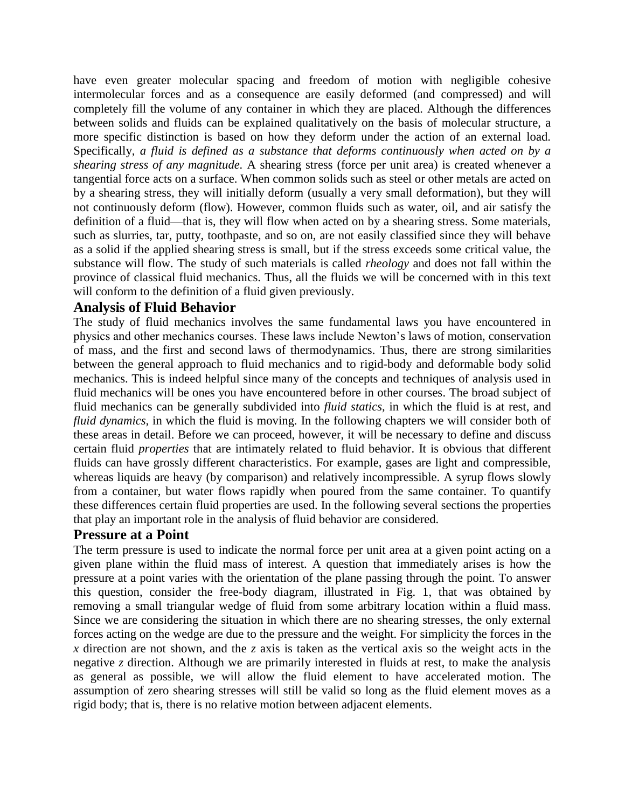have even greater molecular spacing and freedom of motion with negligible cohesive intermolecular forces and as a consequence are easily deformed (and compressed) and will completely fill the volume of any container in which they are placed. Although the differences between solids and fluids can be explained qualitatively on the basis of molecular structure, a more specific distinction is based on how they deform under the action of an external load. Specifically, *a fluid is defined as a substance that deforms continuously when acted on by a shearing stress of any magnitude.* A shearing stress (force per unit area) is created whenever a tangential force acts on a surface. When common solids such as steel or other metals are acted on by a shearing stress, they will initially deform (usually a very small deformation), but they will not continuously deform (flow). However, common fluids such as water, oil, and air satisfy the definition of a fluid—that is, they will flow when acted on by a shearing stress. Some materials, such as slurries, tar, putty, toothpaste, and so on, are not easily classified since they will behave as a solid if the applied shearing stress is small, but if the stress exceeds some critical value, the substance will flow. The study of such materials is called *rheology* and does not fall within the province of classical fluid mechanics. Thus, all the fluids we will be concerned with in this text will conform to the definition of a fluid given previously.

# **Analysis of Fluid Behavior**

The study of fluid mechanics involves the same fundamental laws you have encountered in physics and other mechanics courses. These laws include Newton's laws of motion, conservation of mass, and the first and second laws of thermodynamics. Thus, there are strong similarities between the general approach to fluid mechanics and to rigid-body and deformable body solid mechanics. This is indeed helpful since many of the concepts and techniques of analysis used in fluid mechanics will be ones you have encountered before in other courses. The broad subject of fluid mechanics can be generally subdivided into *fluid statics,* in which the fluid is at rest, and *fluid dynamics,* in which the fluid is moving. In the following chapters we will consider both of these areas in detail. Before we can proceed, however, it will be necessary to define and discuss certain fluid *properties* that are intimately related to fluid behavior. It is obvious that different fluids can have grossly different characteristics. For example, gases are light and compressible, whereas liquids are heavy (by comparison) and relatively incompressible. A syrup flows slowly from a container, but water flows rapidly when poured from the same container. To quantify these differences certain fluid properties are used. In the following several sections the properties that play an important role in the analysis of fluid behavior are considered.

# **Pressure at a Point**

The term pressure is used to indicate the normal force per unit area at a given point acting on a given plane within the fluid mass of interest. A question that immediately arises is how the pressure at a point varies with the orientation of the plane passing through the point. To answer this question, consider the free-body diagram, illustrated in Fig. 1, that was obtained by removing a small triangular wedge of fluid from some arbitrary location within a fluid mass. Since we are considering the situation in which there are no shearing stresses, the only external forces acting on the wedge are due to the pressure and the weight. For simplicity the forces in the *x* direction are not shown, and the *z* axis is taken as the vertical axis so the weight acts in the negative *z* direction. Although we are primarily interested in fluids at rest, to make the analysis as general as possible, we will allow the fluid element to have accelerated motion. The assumption of zero shearing stresses will still be valid so long as the fluid element moves as a rigid body; that is, there is no relative motion between adjacent elements.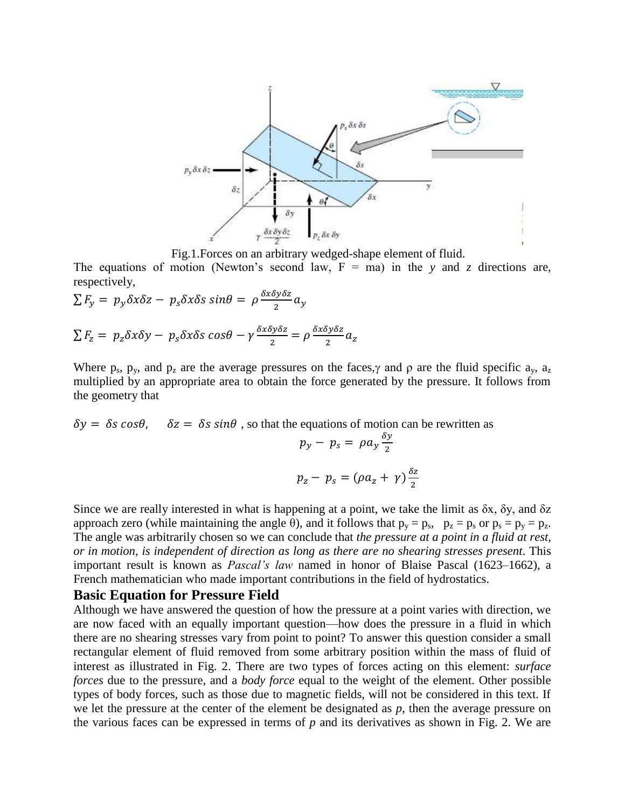

Fig.1.Forces on an arbitrary wedged-shape element of fluid.

The equations of motion (Newton's second law,  $F = ma$ ) in the *y* and *z* directions are, respectively,

$$
\sum F_y = p_y \delta x \delta z - p_s \delta x \delta s \sin \theta = \rho \frac{\delta x \delta y \delta z}{2} a_y
$$
  

$$
\sum F_z = p_z \delta x \delta y - p_s \delta x \delta s \cos \theta - \gamma \frac{\delta x \delta y \delta z}{2} = \rho \frac{\delta x \delta y \delta z}{2} a_z
$$

Where p<sub>s</sub>, p<sub>y</sub>, and p<sub>z</sub> are the average pressures on the faces,  $\gamma$  and  $\rho$  are the fluid specific a<sub>y</sub>, a<sub>z</sub> multiplied by an appropriate area to obtain the force generated by the pressure. It follows from the geometry that

$$
\delta y = \delta s \cos \theta
$$
,  $\delta z = \delta s \sin \theta$ , so that the equations of motion can be rewritten as  

$$
p_y - p_s = \rho a_y \frac{\delta y}{2}
$$

$$
p_z - p_s = (\rho a_z + \gamma) \frac{\delta z}{2}
$$

Since we are really interested in what is happening at a point, we take the limit as  $\delta x$ ,  $\delta y$ , and  $\delta z$ approach zero (while maintaining the angle  $\theta$ ), and it follows that  $p_y = p_s$ ,  $p_z = p_s$  or  $p_s = p_y = p_z$ . The angle was arbitrarily chosen so we can conclude that *the pressure at a point in a fluid at rest, or in motion, is independent of direction as long as there are no shearing stresses present*. This important result is known as *Pascal's law* named in honor of Blaise Pascal (1623–1662), a French mathematician who made important contributions in the field of hydrostatics.

### **Basic Equation for Pressure Field**

Although we have answered the question of how the pressure at a point varies with direction, we are now faced with an equally important question—how does the pressure in a fluid in which there are no shearing stresses vary from point to point? To answer this question consider a small rectangular element of fluid removed from some arbitrary position within the mass of fluid of interest as illustrated in Fig. 2. There are two types of forces acting on this element: *surface forces* due to the pressure, and a *body force* equal to the weight of the element. Other possible types of body forces, such as those due to magnetic fields, will not be considered in this text. If we let the pressure at the center of the element be designated as *p*, then the average pressure on the various faces can be expressed in terms of *p* and its derivatives as shown in Fig. 2. We are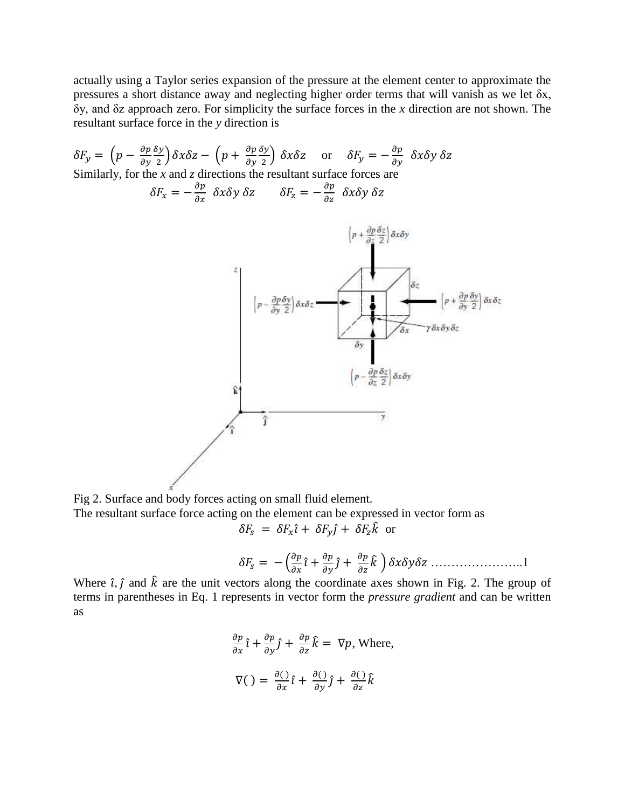actually using a Taylor series expansion of the pressure at the element center to approximate the pressures a short distance away and neglecting higher order terms that will vanish as we let δx, δy, and δz approach zero. For simplicity the surface forces in the *x* direction are not shown. The resultant surface force in the *y* direction is

$$
\delta F_y = \left( p - \frac{\partial p}{\partial y} \frac{\delta y}{2} \right) \delta x \delta z - \left( p + \frac{\partial p}{\partial y} \frac{\delta y}{2} \right) \delta x \delta z \quad \text{or} \quad \delta F_y = -\frac{\partial p}{\partial y} \delta x \delta y \delta z
$$
\nSimilarly, for the *x* and *z* directions the resultant surface forces are\n
$$
\delta F_x = -\frac{\partial p}{\partial x} \delta x \delta y \delta z \qquad \delta F_z = -\frac{\partial p}{\partial z} \delta x \delta y \delta z
$$
\n
$$
\left| p + \frac{\partial p \delta z}{\partial z} \right| \delta x \delta y
$$
\n
$$
\left| p - \frac{\partial p \delta y}{\partial y} \right| \delta x \delta z
$$
\n
$$
\left| p - \frac{\partial p \delta y}{\partial y} \right| \delta x \delta z
$$
\n
$$
\left| p - \frac{\partial p \delta z}{\partial z} \right| \delta x \delta y
$$
\n
$$
\left| p - \frac{\partial p \delta z}{\partial z} \right| \delta x \delta y
$$

Fig 2. Surface and body forces acting on small fluid element.

The resultant surface force acting on the element can be expressed in vector form as

$$
\delta F_s = \delta F_x \hat{\imath} + \delta F_y \hat{\jmath} + \delta F_z \hat{k} \text{ or }
$$

$$
\delta F_{\rm s} = -\left(\frac{\partial p}{\partial x}\hat{\imath} + \frac{\partial p}{\partial y}\hat{\jmath} + \frac{\partial p}{\partial z}\hat{k}\right)\delta x \delta y \delta z \dots \dots \dots \dots \dots \dots \dots \dots
$$

Where  $\hat{i}$ ,  $\hat{j}$  and  $\hat{k}$  are the unit vectors along the coordinate axes shown in Fig. 2. The group of terms in parentheses in Eq. 1 represents in vector form the *pressure gradient* and can be written as

$$
\frac{\partial p}{\partial x}\hat{i} + \frac{\partial p}{\partial y}\hat{j} + \frac{\partial p}{\partial z}\hat{k} = \nabla p, \text{ Where,}
$$

$$
\nabla() = \frac{\partial()}{\partial x}\hat{i} + \frac{\partial()}{\partial y}\hat{j} + \frac{\partial()}{\partial z}\hat{k}
$$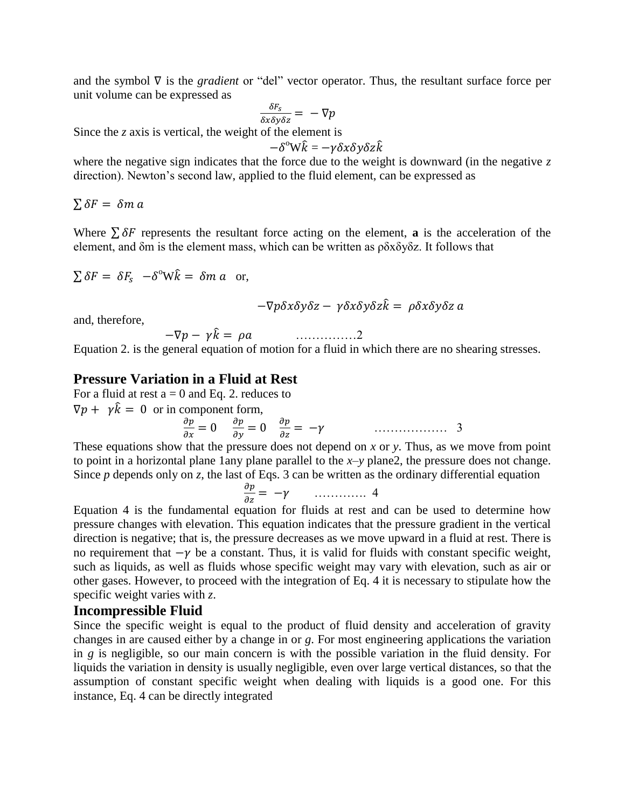and the symbol  $\nabla$  is the *gradient* or "del" vector operator. Thus, the resultant surface force per unit volume can be expressed as

$$
\frac{\delta F_S}{\delta x \delta y \delta z} = -\nabla p
$$

Since the *z* axis is vertical, the weight of the element is

$$
\delta^{\rm o}{\rm W}\hat{k}=-\gamma\delta x\delta y\delta z\hat{k}
$$

where the negative sign indicates that the force due to the weight is downward (in the negative z direction). Newton's second law, applied to the fluid element, can be expressed as

 $\sum \delta F = \delta m a$ 

Where  $\sum \delta F$  represents the resultant force acting on the element, **a** is the acceleration of the element, and δm is the element mass, which can be written as ρδxδyδz. It follows that

$$
\sum \delta F = \delta F_s - \delta^{\circ} W \hat{k} = \delta m a \text{ or,}
$$

 $-\nabla p \delta x \delta y \delta z - \gamma \delta x \delta y \delta z \hat{k} = \rho \delta x \delta y \delta z \alpha$ 

and, therefore,

$$
-\nabla p - \gamma \hat{k} = \rho a \qquad \qquad \ldots \ldots \ldots \ldots 2
$$

Equation 2. is the general equation of motion for a fluid in which there are no shearing stresses.

### **Pressure Variation in a Fluid at Rest**

For a fluid at rest  $a = 0$  and Eq. 2. reduces to  $\nabla p + \gamma \hat{k} = 0$  or in component form,

$$
\frac{\partial p}{\partial x} = 0 \quad \frac{\partial p}{\partial y} = 0 \quad \frac{\partial p}{\partial z} = -\gamma \quad \dots \dots \dots \dots \dots \quad 3
$$

These equations show that the pressure does not depend on *x* or *y*. Thus, as we move from point to point in a horizontal plane 1any plane parallel to the *x*–*y* plane2, the pressure does not change. Since  $p$  depends only on  $z$ , the last of Eqs. 3 can be written as the ordinary differential equation

$$
\frac{\partial p}{\partial z} = -\gamma \qquad \ldots \qquad 4
$$

Equation 4 is the fundamental equation for fluids at rest and can be used to determine how pressure changes with elevation. This equation indicates that the pressure gradient in the vertical direction is negative; that is, the pressure decreases as we move upward in a fluid at rest. There is no requirement that  $-\gamma$  be a constant. Thus, it is valid for fluids with constant specific weight, such as liquids, as well as fluids whose specific weight may vary with elevation, such as air or other gases. However, to proceed with the integration of Eq. 4 it is necessary to stipulate how the specific weight varies with *z*.

# **Incompressible Fluid**

Since the specific weight is equal to the product of fluid density and acceleration of gravity changes in are caused either by a change in or *g*. For most engineering applications the variation in *g* is negligible, so our main concern is with the possible variation in the fluid density. For liquids the variation in density is usually negligible, even over large vertical distances, so that the assumption of constant specific weight when dealing with liquids is a good one. For this instance, Eq. 4 can be directly integrated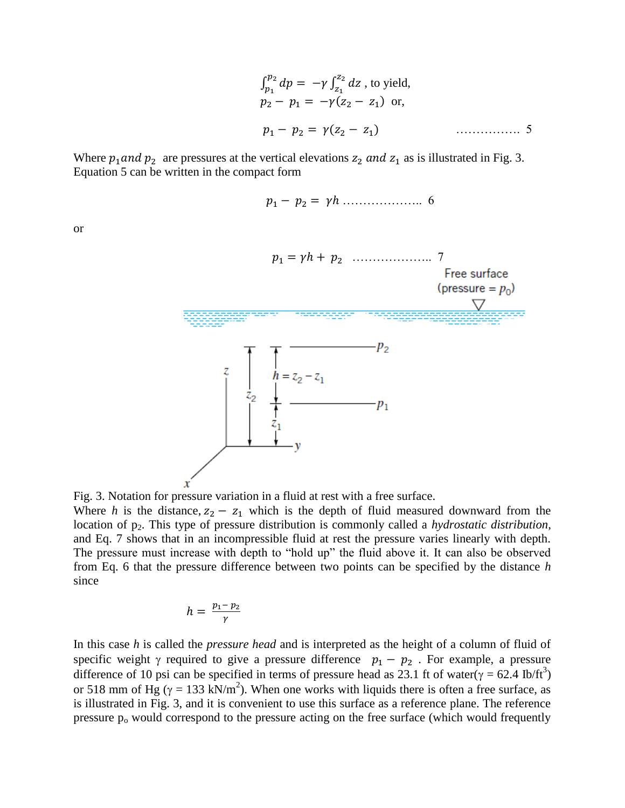$$
\int_{p_1}^{p_2} dp = -\gamma \int_{z_1}^{z_2} dz
$$
, to yield,  
\n
$$
p_2 - p_1 = -\gamma (z_2 - z_1)
$$
 or,  
\n
$$
p_1 - p_2 = \gamma (z_2 - z_1)
$$

Where  $p_1$  and  $p_2$  are pressures at the vertical elevations  $z_2$  and  $z_1$  as is illustrated in Fig. 3. Equation 5 can be written in the compact form

……………….. 6

or



Fig. 3. Notation for pressure variation in a fluid at rest with a free surface.

Where *h* is the distance,  $z_2 - z_1$  which is the depth of fluid measured downward from the location of  $p_2$ . This type of pressure distribution is commonly called a *hydrostatic distribution*, and Eq. 7 shows that in an incompressible fluid at rest the pressure varies linearly with depth. The pressure must increase with depth to "hold up" the fluid above it. It can also be observed from Eq. 6 that the pressure difference between two points can be specified by the distance *h*  since

$$
h = \frac{p_1 - p_2}{\gamma}
$$

In this case *h* is called the *pressure head* and is interpreted as the height of a column of fluid of specific weight  $\gamma$  required to give a pressure difference  $p_1 - p_2$ . For example, a pressure difference of 10 psi can be specified in terms of pressure head as 23.1 ft of water( $\gamma = 62.4$  Ib/ft<sup>3</sup>) or 518 mm of Hg ( $\gamma = 133$  kN/m<sup>2</sup>). When one works with liquids there is often a free surface, as is illustrated in Fig. 3, and it is convenient to use this surface as a reference plane. The reference pressure  $p<sub>o</sub>$  would correspond to the pressure acting on the free surface (which would frequently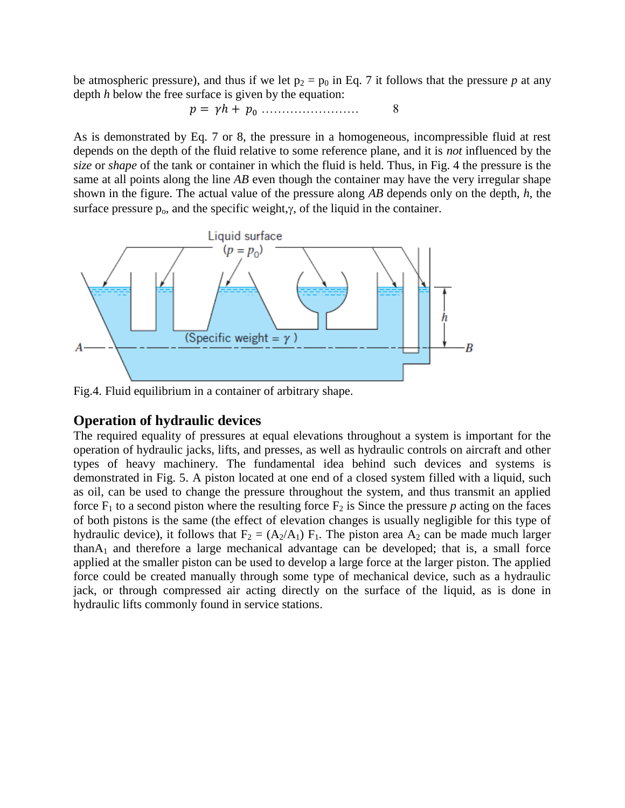be atmospheric pressure), and thus if we let  $p_2 = p_0$  in Eq. 7 it follows that the pressure p at any depth *h* below the free surface is given by the equation:

…………………… 8

As is demonstrated by Eq. 7 or 8, the pressure in a homogeneous, incompressible fluid at rest depends on the depth of the fluid relative to some reference plane, and it is *not* influenced by the *size* or *shape* of the tank or container in which the fluid is held. Thus, in Fig. 4 the pressure is the same at all points along the line *AB* even though the container may have the very irregular shape shown in the figure. The actual value of the pressure along *AB* depends only on the depth, *h*, the surface pressure  $p_0$ , and the specific weight, $\gamma$ , of the liquid in the container.



Fig.4. Fluid equilibrium in a container of arbitrary shape.

# **Operation of hydraulic devices**

The required equality of pressures at equal elevations throughout a system is important for the operation of hydraulic jacks, lifts, and presses, as well as hydraulic controls on aircraft and other types of heavy machinery. The fundamental idea behind such devices and systems is demonstrated in Fig. 5. A piston located at one end of a closed system filled with a liquid, such as oil, can be used to change the pressure throughout the system, and thus transmit an applied force  $F_1$  to a second piston where the resulting force  $F_2$  is Since the pressure p acting on the faces of both pistons is the same (the effect of elevation changes is usually negligible for this type of hydraulic device), it follows that  $F_2 = (A_2/A_1) F_1$ . The piston area  $A_2$  can be made much larger than $A_1$  and therefore a large mechanical advantage can be developed; that is, a small force applied at the smaller piston can be used to develop a large force at the larger piston. The applied force could be created manually through some type of mechanical device, such as a hydraulic jack, or through compressed air acting directly on the surface of the liquid, as is done in hydraulic lifts commonly found in service stations.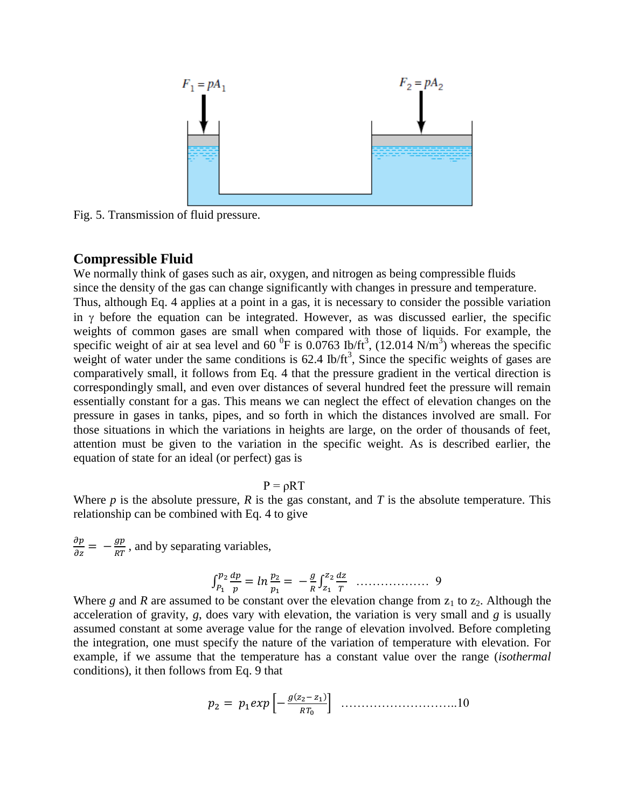

Fig. 5. Transmission of fluid pressure.

### **Compressible Fluid**

We normally think of gases such as air, oxygen, and nitrogen as being compressible fluids since the density of the gas can change significantly with changes in pressure and temperature. Thus, although Eq. 4 applies at a point in a gas, it is necessary to consider the possible variation in  $\gamma$  before the equation can be integrated. However, as was discussed earlier, the specific weights of common gases are small when compared with those of liquids. For example, the specific weight of air at sea level and 60  $^{0}$ F is 0.0763 Ib/ft<sup>3</sup>, (12.014 N/m<sup>3</sup>) whereas the specific weight of water under the same conditions is  $62.4 \text{ Ib/ft}^3$ , Since the specific weights of gases are comparatively small, it follows from Eq. 4 that the pressure gradient in the vertical direction is correspondingly small, and even over distances of several hundred feet the pressure will remain essentially constant for a gas. This means we can neglect the effect of elevation changes on the pressure in gases in tanks, pipes, and so forth in which the distances involved are small. For those situations in which the variations in heights are large, on the order of thousands of feet, attention must be given to the variation in the specific weight. As is described earlier, the equation of state for an ideal (or perfect) gas is

### $P = \rho RT$

Where  $p$  is the absolute pressure,  $R$  is the gas constant, and  $T$  is the absolute temperature. This relationship can be combined with Eq. 4 to give

 $\partial$  $\partial$  $\overline{g}$  $\frac{g\rho}{RT}$ , and by separating variables,

$$
\int_{P_1}^{p_2} \frac{dp}{p} = \ln \frac{p_2}{p_1} = -\frac{g}{R} \int_{z_1}^{z_2} \frac{dz}{T} \quad \dots \dots \dots \dots \dots \dots \dots \quad 9
$$

Where  $g$  and  $R$  are assumed to be constant over the elevation change from  $z_1$  to  $z_2$ . Although the acceleration of gravity, *g*, does vary with elevation, the variation is very small and *g* is usually assumed constant at some average value for the range of elevation involved. Before completing the integration, one must specify the nature of the variation of temperature with elevation. For example, if we assume that the temperature has a constant value over the range (*isothermal*  conditions), it then follows from Eq. 9 that

 \* ( ) + ………………………..10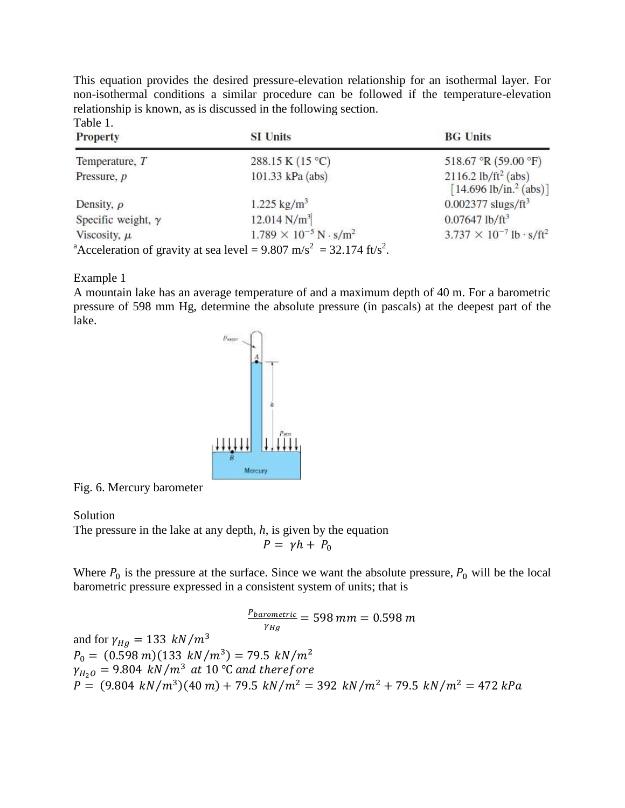This equation provides the desired pressure-elevation relationship for an isothermal layer. For non-isothermal conditions a similar procedure can be followed if the temperature-elevation relationship is known, as is discussed in the following section. Table 1.

| <b>Property</b>           | <b>SI</b> Units                                                                                         | <b>BG</b> Units                                                  |
|---------------------------|---------------------------------------------------------------------------------------------------------|------------------------------------------------------------------|
| Temperature, T            | 288.15 K (15 °C)                                                                                        | 518.67 °R (59.00 °F)                                             |
| Pressure, $p$             | 101.33 kPa (abs)                                                                                        | $2116.2$ lb/ft <sup>2</sup> (abs)<br>$[14.696 \, lb/in.2 (abs)]$ |
| Density, $\rho$           | $1.225 \text{ kg/m}^3$                                                                                  | $0.002377$ slugs/ft <sup>3</sup>                                 |
| Specific weight, $\gamma$ | $12.014 \text{ N/m}^3$                                                                                  | $0.07647$ lb/ft <sup>3</sup>                                     |
| Viscosity, $\mu$          | $1.789 \times 10^{-5}$ N $\cdot$ s/m <sup>2</sup>                                                       | $3.737 \times 10^{-7}$ lb · s/ft <sup>2</sup>                    |
|                           | <sup>a</sup> Acceleration of gravity at sea level = 9.807 m/s <sup>2</sup> = 32.174 ft/s <sup>2</sup> . |                                                                  |

Example 1

A mountain lake has an average temperature of and a maximum depth of 40 m. For a barometric pressure of 598 mm Hg, determine the absolute pressure (in pascals) at the deepest part of the lake.



Fig. 6. Mercury barometer

Solution

The pressure in the lake at any depth, *h*, is given by the equation  $P = \gamma h + P_0$ 

Where  $P_0$  is the pressure at the surface. Since we want the absolute pressure,  $P_0$  will be the local barometric pressure expressed in a consistent system of units; that is

$$
\frac{P_{barometric}}{v_{Hg}} = 598 \text{ mm} = 0.598 \text{ m}
$$
  
and for  $\gamma_{Hg} = 133 \text{ kN/m}^3$   
 $P_0 = (0.598 \text{ m})(133 \text{ kN/m}^3) = 79.5 \text{ kN/m}^2$   
 $\gamma_{H_{20}} = 9.804 \text{ kN/m}^3$  at 10 °C and therefore  
 $P = (9.804 \text{ kN/m}^3)(40 \text{ m}) + 79.5 \text{ kN/m}^2 = 392 \text{ kN/m}^2 + 79.5 \text{ kN/m}^2 = 472 \text{ kPa}$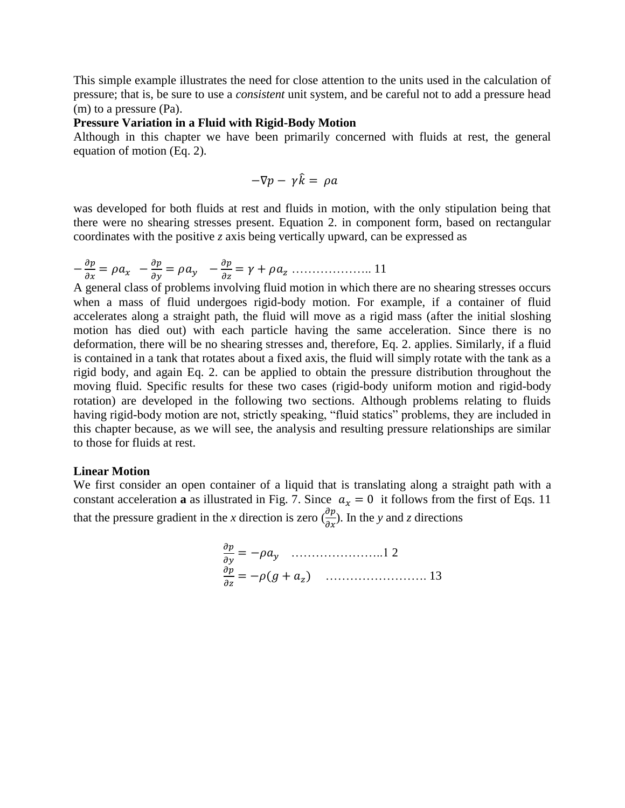This simple example illustrates the need for close attention to the units used in the calculation of pressure; that is, be sure to use a *consistent* unit system, and be careful not to add a pressure head (m) to a pressure (Pa).

#### **Pressure Variation in a Fluid with Rigid-Body Motion**

Although in this chapter we have been primarily concerned with fluids at rest, the general equation of motion (Eq. 2).

$$
-\nabla p - \gamma \hat{k} = \rho a
$$

was developed for both fluids at rest and fluids in motion, with the only stipulation being that there were no shearing stresses present. Equation 2. in component form, based on rectangular coordinates with the positive *z* axis being vertically upward, can be expressed as

 ……………….. 11

A general class of problems involving fluid motion in which there are no shearing stresses occurs when a mass of fluid undergoes rigid-body motion. For example, if a container of fluid accelerates along a straight path, the fluid will move as a rigid mass (after the initial sloshing motion has died out) with each particle having the same acceleration. Since there is no deformation, there will be no shearing stresses and, therefore, Eq. 2. applies. Similarly, if a fluid is contained in a tank that rotates about a fixed axis, the fluid will simply rotate with the tank as a rigid body, and again Eq. 2. can be applied to obtain the pressure distribution throughout the moving fluid. Specific results for these two cases (rigid-body uniform motion and rigid-body rotation) are developed in the following two sections. Although problems relating to fluids having rigid-body motion are not, strictly speaking, "fluid statics" problems, they are included in this chapter because, as we will see, the analysis and resulting pressure relationships are similar to those for fluids at rest.

#### **Linear Motion**

We first consider an open container of a liquid that is translating along a straight path with a constant acceleration **a** as illustrated in Fig. 7. Since  $a_x = 0$  it follows from the first of Eqs. 11 that the pressure gradient in the *x* direction is zero  $\left(\frac{\partial p}{\partial x}\right)$ . In the *y* and *z* directions

 …………………..1 <sup>2</sup> ( ) ……………………. <sup>13</sup>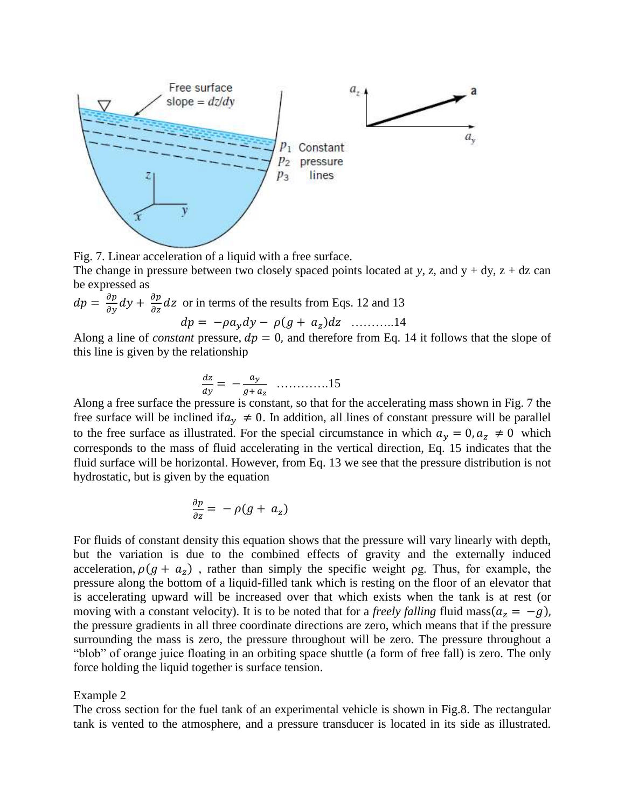

Fig. 7. Linear acceleration of a liquid with a free surface.

The change in pressure between two closely spaced points located at *y*, *z*, and  $y + dy$ ,  $z + dz$  can be expressed as

$$
dp = \frac{\partial p}{\partial y} dy + \frac{\partial p}{\partial z} dz
$$
 or in terms of the results from Eqs. 12 and 13  

$$
dp = -\rho a_y dy - \rho (g + a_z) dz
$$
............14

Along a line of *constant* pressure,  $dp = 0$ , and therefore from Eq. 14 it follows that the slope of this line is given by the relationship

$$
\frac{dz}{dy} = -\frac{a_y}{g + a_z} \quad \dots \dots \dots \dots 15
$$

Along a free surface the pressure is constant, so that for the accelerating mass shown in Fig. 7 the free surface will be inclined if  $a_v \neq 0$ . In addition, all lines of constant pressure will be parallel to the free surface as illustrated. For the special circumstance in which  $a_y = 0, a_z \neq 0$  which corresponds to the mass of fluid accelerating in the vertical direction, Eq. 15 indicates that the fluid surface will be horizontal. However, from Eq. 13 we see that the pressure distribution is not hydrostatic, but is given by the equation

$$
\frac{\partial p}{\partial z} = -\rho(g + a_z)
$$

For fluids of constant density this equation shows that the pressure will vary linearly with depth, but the variation is due to the combined effects of gravity and the externally induced acceleration,  $\rho(g + a_z)$ , rather than simply the specific weight pg. Thus, for example, the pressure along the bottom of a liquid-filled tank which is resting on the floor of an elevator that is accelerating upward will be increased over that which exists when the tank is at rest (or moving with a constant velocity). It is to be noted that for a *freely falling* fluid mass $(a_7 = -g)$ , the pressure gradients in all three coordinate directions are zero, which means that if the pressure surrounding the mass is zero, the pressure throughout will be zero. The pressure throughout a "blob" of orange juice floating in an orbiting space shuttle (a form of free fall) is zero. The only force holding the liquid together is surface tension.

#### Example 2

The cross section for the fuel tank of an experimental vehicle is shown in Fig.8. The rectangular tank is vented to the atmosphere, and a pressure transducer is located in its side as illustrated.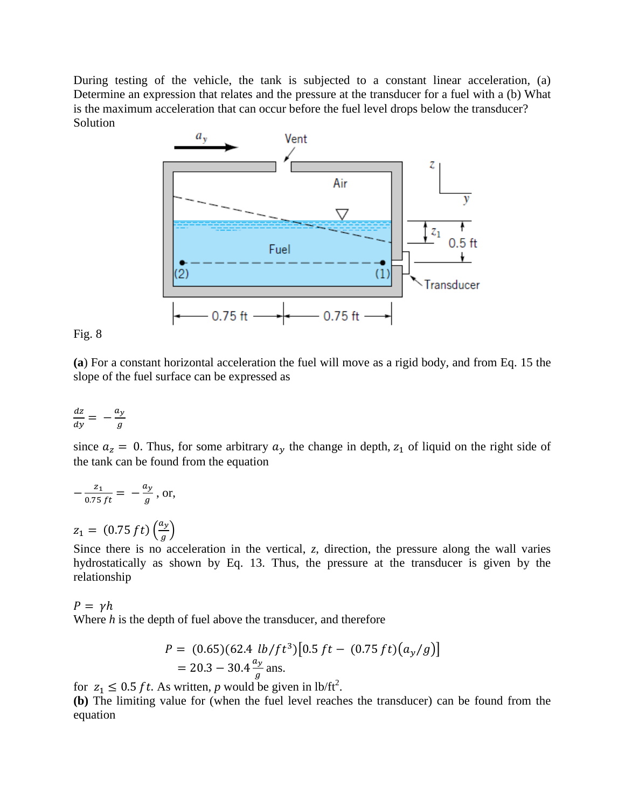During testing of the vehicle, the tank is subjected to a constant linear acceleration, (a) Determine an expression that relates and the pressure at the transducer for a fuel with a (b) What is the maximum acceleration that can occur before the fuel level drops below the transducer? Solution



### Fig. 8

**(a**) For a constant horizontal acceleration the fuel will move as a rigid body, and from Eq. 15 the slope of the fuel surface can be expressed as

$$
\frac{dz}{dy} = -\frac{ay}{g}
$$

since  $a_z = 0$ . Thus, for some arbitrary  $a_y$  the change in depth,  $z_1$  of liquid on the right side of the tank can be found from the equation

$$
-\frac{z_1}{0.75\,ft} = -\frac{a_y}{g}, \text{ or,}
$$

#### $z_1 = (0.75 \, ft) \left(\frac{a}{2}\right)$  $\frac{xy}{g}$

Since there is no acceleration in the vertical, *z*, direction, the pressure along the wall varies hydrostatically as shown by Eq. 13. Thus, the pressure at the transducer is given by the relationship

 $P = \gamma h$ Where *h* is the depth of fuel above the transducer, and therefore

$$
P = (0.65)(62.4 \text{ lb/ft}^3)[0.5 \text{ ft} - (0.75 \text{ ft})(a_y/g)]
$$
  
= 20.3 - 30.4  $\frac{a_y}{a}$  ans.

for  $z_1 \le 0.5$  ft. As written, *p* would be given in lb/ft<sup>2</sup>.

**(b)** The limiting value for (when the fuel level reaches the transducer) can be found from the equation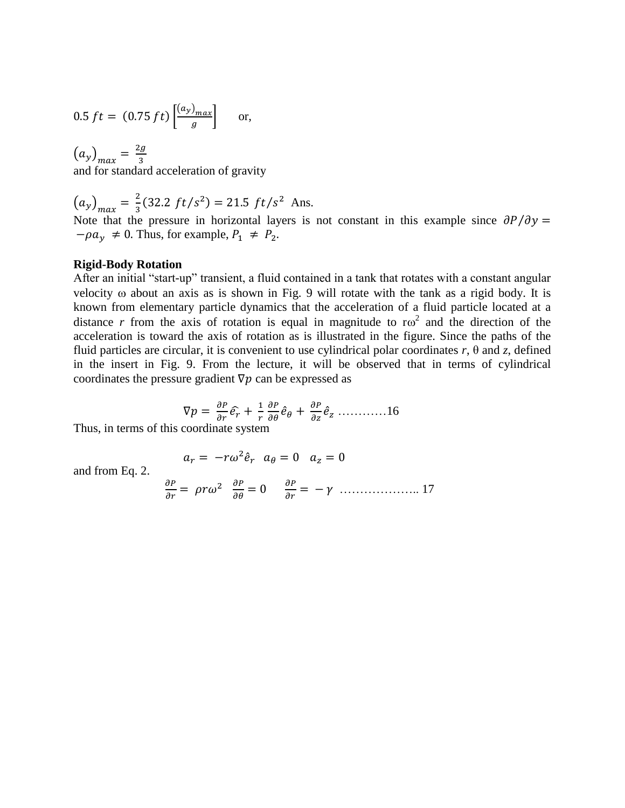$$
0.5 ft = (0.75 ft) \left[ \frac{(a_y)_{max}}{g} \right]
$$
 or,

 $(a_y)_{max} = \frac{2}{3}$ 3 and for standard acceleration of gravity

 $(a_y)_{max} = \frac{2}{3}$  $\frac{2}{3}(32.2 \ ft/s^2) = 21.5 \ ft/s^2$  Ans.

Note that the pressure in horizontal layers is not constant in this example since  $\partial P/\partial y =$  $-\rho a_v \neq 0$ . Thus, for example,  $P_1 \neq P_2$ .

#### **Rigid-Body Rotation**

After an initial "start-up" transient, a fluid contained in a tank that rotates with a constant angular velocity  $\omega$  about an axis as is shown in Fig. 9 will rotate with the tank as a rigid body. It is known from elementary particle dynamics that the acceleration of a fluid particle located at a distance r from the axis of rotation is equal in magnitude to  $r\omega^2$  and the direction of the acceleration is toward the axis of rotation as is illustrated in the figure. Since the paths of the fluid particles are circular, it is convenient to use cylindrical polar coordinates *r*, θ and *z*, defined in the insert in Fig. 9. From the lecture, it will be observed that in terms of cylindrical coordinates the pressure gradient  $\nabla p$  can be expressed as

$$
\nabla p = \frac{\partial P}{\partial r}\hat{e_r} + \frac{1}{r}\frac{\partial P}{\partial \theta}\hat{e_{\theta}} + \frac{\partial P}{\partial z}\hat{e_z} \dots \dots \dots \dots 16
$$

Thus, in terms of this coordinate system

$$
a_r = -r\omega^2 \hat{e}_r \quad a_\theta = 0 \quad a_z = 0
$$

and from Eq. 2.

 ……………….. 17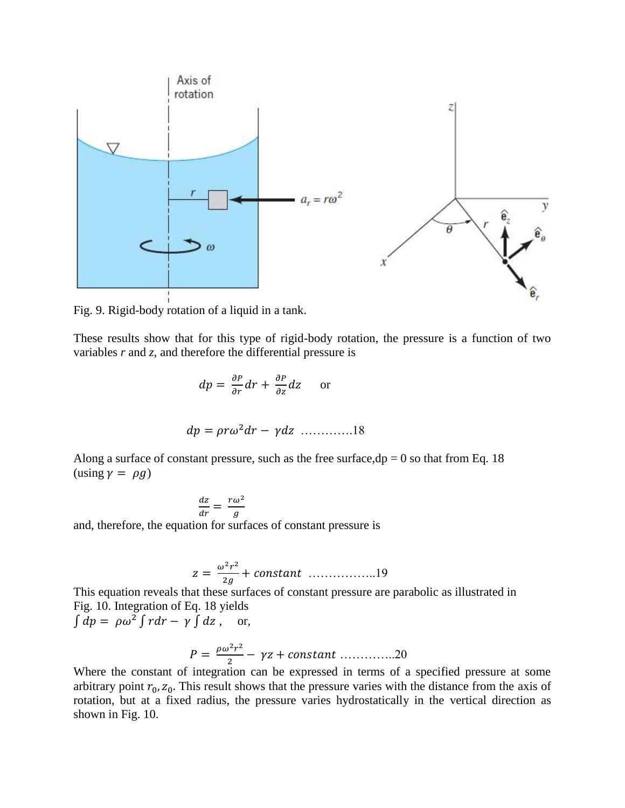

Fig. 9. Rigid-body rotation of a liquid in a tank.

These results show that for this type of rigid-body rotation, the pressure is a function of two variables *r* and *z*, and therefore the differential pressure is

$$
dp = \frac{\partial P}{\partial r} dr + \frac{\partial P}{\partial z} dz \quad \text{or}
$$

$$
dp = \rho r \omega^2 dr - \gamma dz \ \dots \dots \dots \dots \dots 18
$$

Along a surface of constant pressure, such as the free surface, $dp = 0$  so that from Eq. 18 (using  $\gamma = \rho g$ )

$$
\frac{dz}{dr} = \frac{r\omega^2}{g}
$$

and, therefore, the equation for surfaces of constant pressure is

 ……………..19

This equation reveals that these surfaces of constant pressure are parabolic as illustrated in Fig. 10. Integration of Eq. 18 yields

$$
\int dp = \rho \omega^2 \int r dr - \gamma \int dz , \quad \text{or,}
$$

$$
P = \frac{\rho \omega^2 r^2}{2} - \gamma z + constant \dots \dots \dots \dots \dots \dots 20
$$

Where the constant of integration can be expressed in terms of a specified pressure at some arbitrary point  $r_0$ ,  $z_0$ . This result shows that the pressure varies with the distance from the axis of rotation, but at a fixed radius, the pressure varies hydrostatically in the vertical direction as shown in Fig. 10.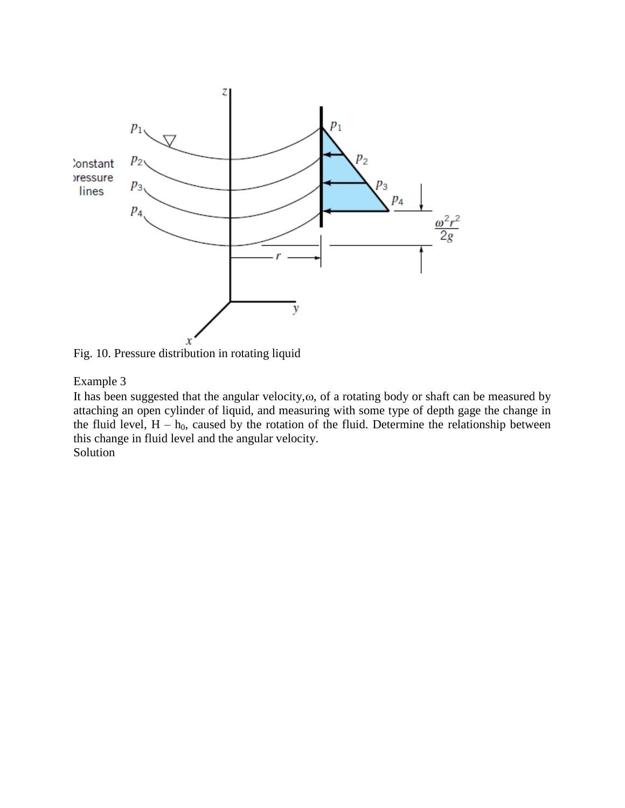

Fig. 10. Pressure distribution in rotating liquid

Example 3

It has been suggested that the angular velocity, $\omega$ , of a rotating body or shaft can be measured by attaching an open cylinder of liquid, and measuring with some type of depth gage the change in the fluid level,  $H - h_0$ , caused by the rotation of the fluid. Determine the relationship between this change in fluid level and the angular velocity. Solution